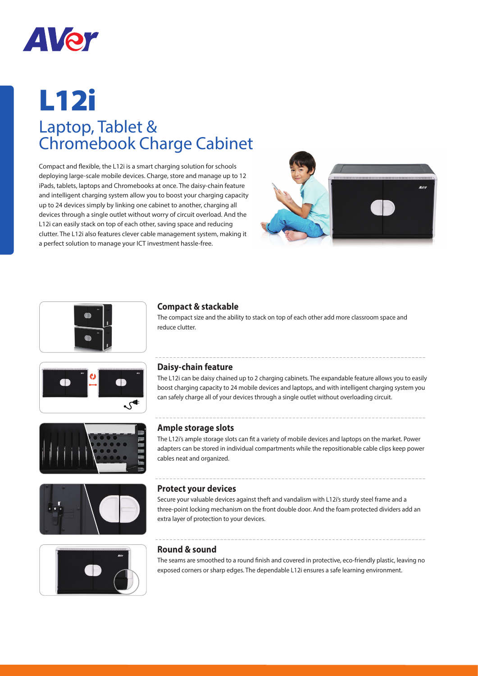

# L12i Laptop, Tablet & Chromebook Charge Cabinet

Compact and flexible, the L12i is a smart charging solution for schools deploying large-scale mobile devices. Charge, store and manage up to 12 iPads, tablets, laptops and Chromebooks at once. The daisy-chain feature and intelligent charging system allow you to boost your charging capacity up to 24 devices simply by linking one cabinet to another, charging all devices through a single outlet without worry of circuit overload. And the L12i can easily stack on top of each other, saving space and reducing clutter. The L12i also features clever cable management system, making it a perfect solution to manage your ICT investment hassle-free.













### **Compact & stackable**

The compact size and the ability to stack on top of each other add more classroom space and reduce clutter.

#### **Daisy-chain feature**

The L12i can be daisy chained up to 2 charging cabinets. The expandable feature allows you to easily boost charging capacity to 24 mobile devices and laptops, and with intelligent charging system you can safely charge all of your devices through a single outlet without overloading circuit.

#### **Ample storage slots**

The L12i's ample storage slots can fit a variety of mobile devices and laptops on the market. Power adapters can be stored in individual compartments while the repositionable cable clips keep power cables neat and organized.

#### **Protect your devices**

Secure your valuable devices against theft and vandalism with L12i's sturdy steel frame and a three-point locking mechanism on the front double door. And the foam protected dividers add an extra layer of protection to your devices.

#### **Round & sound**

The seams are smoothed to a round finish and covered in protective, eco-friendly plastic, leaving no exposed corners or sharp edges. The dependable L12i ensures a safe learning environment.